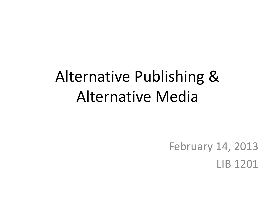# Alternative Publishing & Alternative Media

February 14, 2013 LIB 1201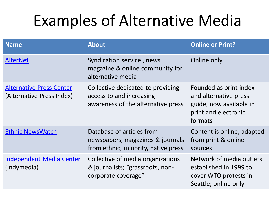# Examples of Alternative Media

| <b>Name</b>                                                  | <b>About</b>                                                                                         | <b>Online or Print?</b>                                                                                       |
|--------------------------------------------------------------|------------------------------------------------------------------------------------------------------|---------------------------------------------------------------------------------------------------------------|
| <b>AlterNet</b>                                              | Syndication service, news<br>magazine & online community for<br>alternative media                    | Online only                                                                                                   |
| <b>Alternative Press Center</b><br>(Alternative Press Index) | Collective dedicated to providing<br>access to and increasing<br>awareness of the alternative press  | Founded as print index<br>and alternative press<br>guide; now available in<br>print and electronic<br>formats |
| <b>Ethnic NewsWatch</b>                                      | Database of articles from<br>newspapers, magazines & journals<br>from ethnic, minority, native press | Content is online; adapted<br>from print & online<br>sources                                                  |
| <b>Independent Media Center</b><br>(Indymedia)               | Collective of media organizations<br>& journalists; "grassroots, non-<br>corporate coverage"         | Network of media outlets;<br>established in 1999 to<br>cover WTO protests in<br>Seattle; online only          |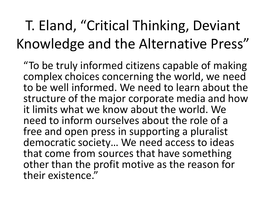## T. Eland, "Critical Thinking, Deviant Knowledge and the Alternative Press"

"To be truly informed citizens capable of making complex choices concerning the world, we need to be well informed. We need to learn about the structure of the major corporate media and how it limits what we know about the world. We need to inform ourselves about the role of a free and open press in supporting a pluralist democratic society… We need access to ideas that come from sources that have something other than the profit motive as the reason for their existence."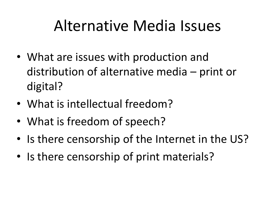## Alternative Media Issues

- What are issues with production and distribution of alternative media – print or digital?
- What is intellectual freedom?
- What is freedom of speech?
- Is there censorship of the Internet in the US?
- Is there censorship of print materials?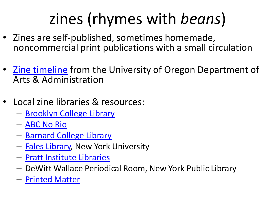# zines (rhymes with *beans*)

- Zines are self-published, sometimes homemade, [n](http://pages.uoregon.edu/culturwk/zine_exhibit/timeline.html)oncommercial print publications with a small circulation
- [Zine timeline](http://pages.uoregon.edu/culturwk/zine_exhibit/timeline.html) from the University of Oregon Department of Arts & Administration
- Local zine libraries & res[o](http://www.abcnorio.org/facilities/zine_library.html)urces:
	- [Brooklyn College Library](http://dewey.brooklyn.cuny.edu/resources/?subject=zines)
	- [ABC No Rio](http://www.abcnorio.org/facilities/zine_library.html)
	- [Barnard College Library](http://zines.barnard.edu/)
	- [Fales](http://www.nyu.edu/library/bobst/research/fales/index.html) [Library,](http://www.nyu.edu/library/bobst/research/fales/index.html) New York University
	- [Pratt Institute Libraries](http://library.pratt.edu/find_resources/special_collections/)
	- DeWitt Wallace Periodical Room, New York Public Library
	- [Printed Matter](http://printedmatter.org/)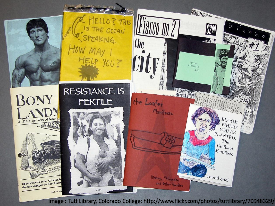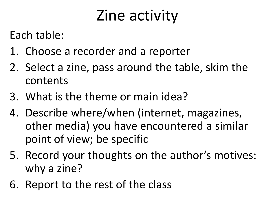# Zine activity

Each table:

- 1. Choose a recorder and a reporter
- 2. Select a zine, pass around the table, skim the contents
- 3. What is the theme or main idea?
- 4. Describe where/when (internet, magazines, other media) you have encountered a similar point of view; be specific
- 5. Record your thoughts on the author's motives: why a zine?
- 6. Report to the rest of the class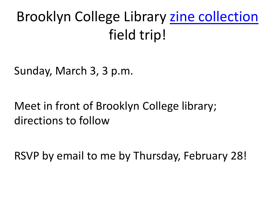### Brooklyn College Library [zine](http://brooklyncollegezines.commons.gc.cuny.edu/) collection field trip!

Sunday, March 3, 3 p.m.

#### Meet in front of Brooklyn College library; directions to follow

RSVP by email to me by Thursday, February 28!